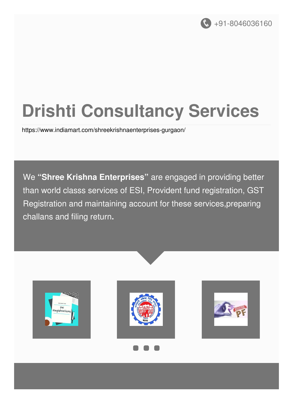

# **Drishti Consultancy Services**

<https://www.indiamart.com/shreekrishnaenterprises-gurgaon/>

We **"Shree Krishna Enterprises"** are engaged in providing better than world classs services of ESI, Provident fund registration, GST Registration and maintaining account for these services,preparing challans and filing return**.**

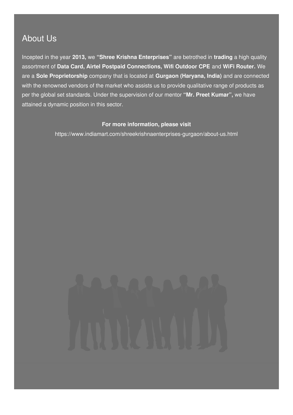### About Us

Incepted in the year **2013,** we **"Shree Krishna Enterprises"** are betrothed in **trading** a high quality assortment of **Data Card, Airtel Postpaid Connections, Wifi Outdoor CPE** and **WiFi Router.** We are a **Sole Proprietorship** company that is located at **Gurgaon (Haryana, India)** and are connected with the renowned vendors of the market who assists us to provide qualitative range of products as per the global set standards. Under the supervision of our mentor **"Mr. Preet Kumar",** we have attained a dynamic position in this sector.

#### **For more information, please visit**

<https://www.indiamart.com/shreekrishnaenterprises-gurgaon/about-us.html>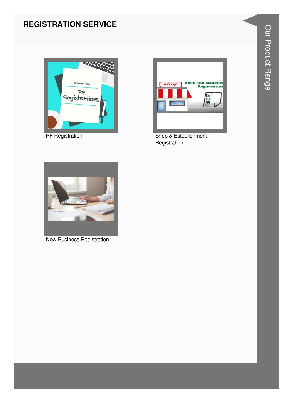#### **REGISTRATION SERVICE**



**PF Registration** 



Shop & Establishment Registration



**New Business Registration**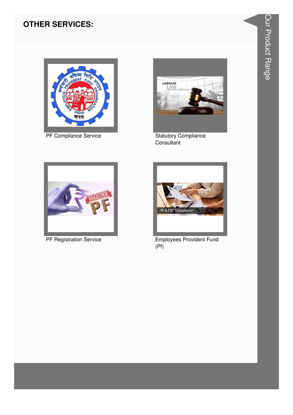#### **OTHER SERVICES:**



PF Compliance Service



**Statutory Compliance** Consultant



PF Registration Service



**Employees Provident Fund**  $(Pf)$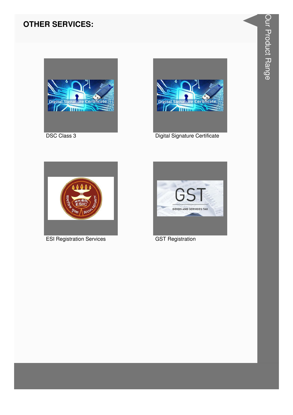#### **OTHER SERVICES:**



**DSC Class 3** 



Digital Signature Certificate



**ESI Registration Services** 



**GST Registration**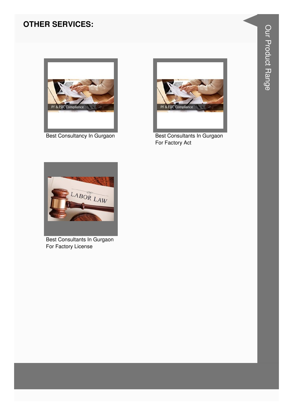#### **OTHER SERVICES:**



Best Consultancy In Gurgaon



Best Consultants In Gurgaon For Factory Act



Best Consultants In Gurgaon For Factory License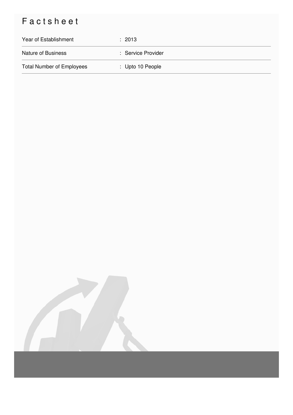## Factsheet

| Year of Establishment            | $\therefore$ 2013  |
|----------------------------------|--------------------|
| <b>Nature of Business</b>        | : Service Provider |
| <b>Total Number of Employees</b> | : Upto 10 People   |